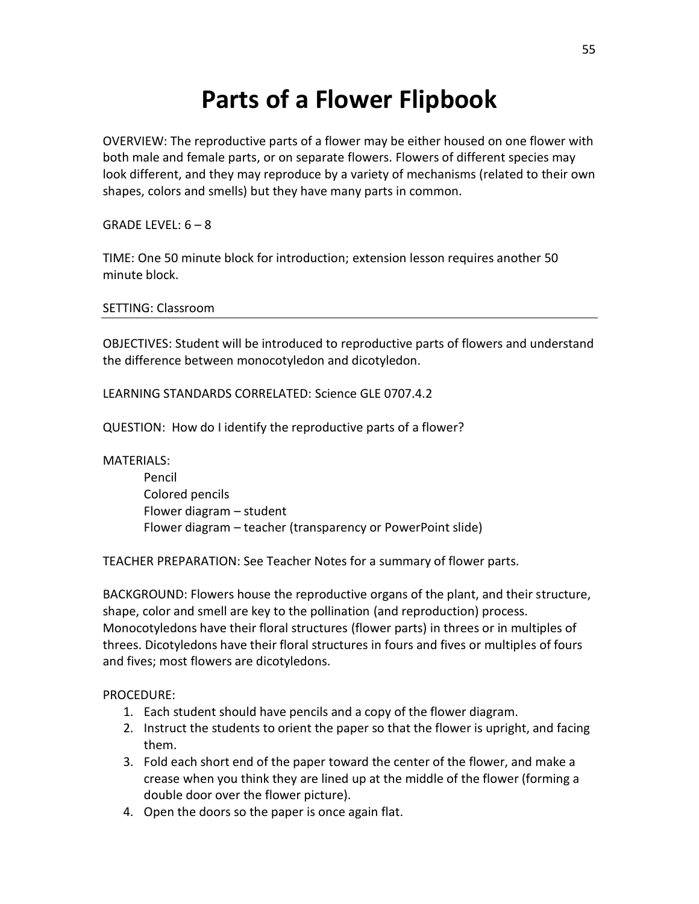## **Parts of a Flower Flipbook**

OVERVIEW: The reproductive parts of a flower may be either housed on one flower with both male and female parts, or on separate flowers. Flowers of different species may look different, and they may reproduce by a variety of mechanisms (related to their own shapes, colors and smells) but they have many parts in common.

GRADE LEVEL:  $6 - 8$ 

TIME: One 50 minute block for introduction; extension lesson requires another 50 minute block.

SETTING: Classroom

OBJECTIVES: Student will be introduced to reproductive parts of flowers and understand the difference between monocotyledon and dicotyledon.

LEARNING STANDARDS CORRELATED: Science GLE 0707.4.2

QUESTION: How do I identify the reproductive parts of a flower?

MATERIALS:

Pencil Colored pencils Flower diagram – student Flower diagram – teacher (transparency or PowerPoint slide)

TEACHER PREPARATION: See Teacher Notes for a summary of flower parts.

BACKGROUND: Flowers house the reproductive organs of the plant, and their structure, shape, color and smell are key to the pollination (and reproduction) process. Monocotyledons have their floral structures (flower parts) in threes or in multiples of threes. Dicotyledons have their floral structures in fours and fives or multiples of fours and fives; most flowers are dicotyledons.

PROCEDURE:

- 1. Each student should have pencils and a copy of the flower diagram.
- 2. Instruct the students to orient the paper so that the flower is upright, and facing them.
- 3. Fold each short end of the paper toward the center of the flower, and make a crease when you think they are lined up at the middle of the flower (forming a double door over the flower picture).
- 4. Open the doors so the paper is once again flat.